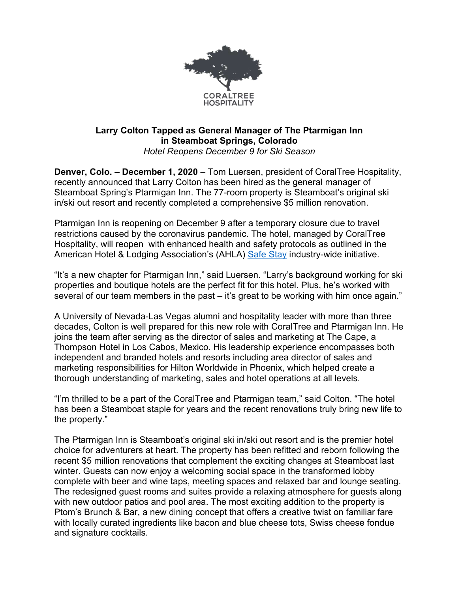

## **Larry Colton Tapped as General Manager of The Ptarmigan Inn in Steamboat Springs, Colorado** *Hotel Reopens December 9 for Ski Season*

**Denver, Colo. – December 1, 2020** – Tom Luersen, president of CoralTree Hospitality, recently announced that Larry Colton has been hired as the general manager of Steamboat Spring's Ptarmigan Inn. The 77-room property is Steamboat's original ski in/ski out resort and recently completed a comprehensive \$5 million renovation.

Ptarmigan Inn is reopening on December 9 after a temporary closure due to travel restrictions caused by the coronavirus pandemic. The hotel, managed by CoralTree Hospitality, will reopen with enhanced health and safety protocols as outlined in the American Hotel & Lodging Association's (AHLA) Safe Stay industry-wide initiative.

"It's a new chapter for Ptarmigan Inn," said Luersen. "Larry's background working for ski properties and boutique hotels are the perfect fit for this hotel. Plus, he's worked with several of our team members in the past – it's great to be working with him once again."

A University of Nevada-Las Vegas alumni and hospitality leader with more than three decades, Colton is well prepared for this new role with CoralTree and Ptarmigan Inn. He joins the team after serving as the director of sales and marketing at The Cape, a Thompson Hotel in Los Cabos, Mexico. His leadership experience encompasses both independent and branded hotels and resorts including area director of sales and marketing responsibilities for Hilton Worldwide in Phoenix, which helped create a thorough understanding of marketing, sales and hotel operations at all levels.

"I'm thrilled to be a part of the CoralTree and Ptarmigan team," said Colton. "The hotel has been a Steamboat staple for years and the recent renovations truly bring new life to the property."

The Ptarmigan Inn is Steamboat's original ski in/ski out resort and is the premier hotel choice for adventurers at heart. The property has been refitted and reborn following the recent \$5 million renovations that complement the exciting changes at Steamboat last winter. Guests can now enjoy a welcoming social space in the transformed lobby complete with beer and wine taps, meeting spaces and relaxed bar and lounge seating. The redesigned guest rooms and suites provide a relaxing atmosphere for guests along with new outdoor patios and pool area. The most exciting addition to the property is Ptom's Brunch & Bar, a new dining concept that offers a creative twist on familiar fare with locally curated ingredients like bacon and blue cheese tots, Swiss cheese fondue and signature cocktails.